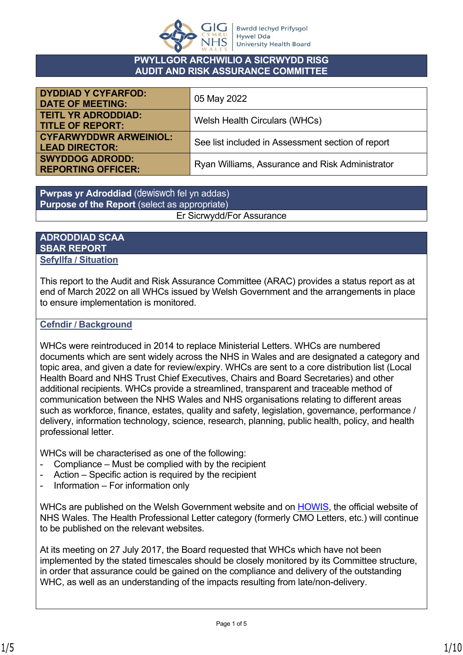

### **PWYLLGOR ARCHWILIO A SICRWYDD RISG AUDIT AND RISK ASSURANCE COMMITTEE**

| <b>DYDDIAD Y CYFARFOD:</b><br><b>DATE OF MEETING:</b>  | 05 May 2022                                       |
|--------------------------------------------------------|---------------------------------------------------|
| <b>TEITL YR ADRODDIAD:</b><br><b>TITLE OF REPORT:</b>  | Welsh Health Circulars (WHCs)                     |
| <b>CYFARWYDDWR ARWEINIOL:</b><br><b>LEAD DIRECTOR:</b> | See list included in Assessment section of report |
| <b>SWYDDOG ADRODD:</b><br><b>REPORTING OFFICER:</b>    | Ryan Williams, Assurance and Risk Administrator   |

**Pwrpas yr Adroddiad** (dewiswch fel yn addas) **Purpose of the Report** (select as appropriate) Er Sicrwydd/For Assurance

### **ADRODDIAD SCAA SBAR REPORT Sefyllfa / Situation**

This report to the Audit and Risk Assurance Committee (ARAC) provides a status report as at end of March 2022 on all WHCs issued by Welsh Government and the arrangements in place to ensure implementation is monitored.

## **Cefndir / Background**

WHCs were reintroduced in 2014 to replace Ministerial Letters. WHCs are numbered documents which are sent widely across the NHS in Wales and are designated a category and topic area, and given a date for review/expiry. WHCs are sent to a core distribution list (Local Health Board and NHS Trust Chief Executives, Chairs and Board Secretaries) and other additional recipients. WHCs provide a streamlined, transparent and traceable method of communication between the NHS Wales and NHS organisations relating to different areas such as workforce, finance, estates, quality and safety, legislation, governance, performance / delivery, information technology, science, research, planning, public health, policy, and health professional letter.

WHCs will be characterised as one of the following:

- Compliance Must be complied with by the recipient
- Action Specific action is required by the recipient
- Information For information only

WHCs are published on the Welsh Government website and on [HOWIS,](http://howis.wales.nhs.uk/whcirculars.cfm?filter=2020) the official website of NHS Wales. The Health Professional Letter category (formerly CMO Letters, etc.) will continue to be published on the relevant websites.

At its meeting on 27 July 2017, the Board requested that WHCs which have not been implemented by the stated timescales should be closely monitored by its Committee structure, in order that assurance could be gained on the compliance and delivery of the outstanding WHC, as well as an understanding of the impacts resulting from late/non-delivery.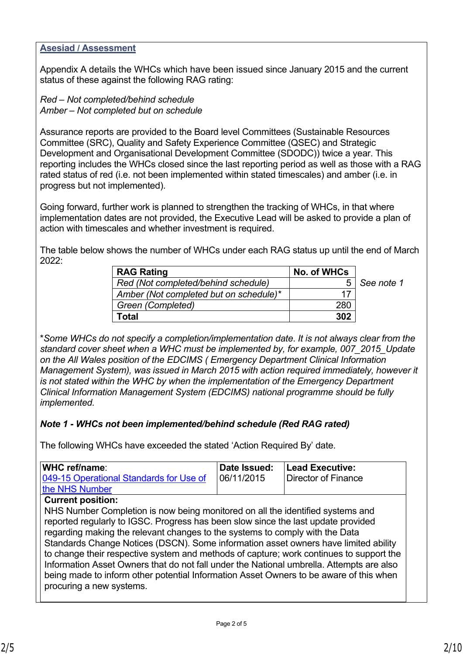### **Asesiad / Assessment**

Appendix A details the WHCs which have been issued since January 2015 and the current status of these against the following RAG rating:

*Red – Not completed/behind schedule Amber – Not completed but on schedule*

Assurance reports are provided to the Board level Committees (Sustainable Resources Committee (SRC), Quality and Safety Experience Committee (QSEC) and Strategic Development and Organisational Development Committee (SDODC)) twice a year. This reporting includes the WHCs closed since the last reporting period as well as those with a RAG rated status of red (i.e. not been implemented within stated timescales) and amber (i.e. in progress but not implemented).

Going forward, further work is planned to strengthen the tracking of WHCs, in that where implementation dates are not provided, the Executive Lead will be asked to provide a plan of action with timescales and whether investment is required.

The table below shows the number of WHCs under each RAG status up until the end of March 2022:

| <b>RAG Rating</b>                      | No. of WHCs |            |
|----------------------------------------|-------------|------------|
| Red (Not completed/behind schedule)    | 5           | See note 1 |
| Amber (Not completed but on schedule)* | 17          |            |
| Green (Completed)                      | 280         |            |
| Total                                  | 302         |            |

\**Some WHCs do not specify a completion/implementation date*. *It is not always clear from the standard cover sheet when a WHC must be implemented by, for example, 007\_2015\_Update on the All Wales position of the EDCIMS ( Emergency Department Clinical Information Management System), was issued in March 2015 with action required immediately, however it is not stated within the WHC by when the implementation of the Emergency Department Clinical Information Management System (EDCIMS) national programme should be fully implemented.*

## *Note 1 - WHCs not been implemented/behind schedule (Red RAG rated)*

The following WHCs have exceeded the stated 'Action Required By' date.

| WHC ref/name:                                                                                                                                                                                                                                                                                                                                                                                                                                                                                                                                                                                                                                           | Date Issued: | <b>Lead Executive:</b>     |
|---------------------------------------------------------------------------------------------------------------------------------------------------------------------------------------------------------------------------------------------------------------------------------------------------------------------------------------------------------------------------------------------------------------------------------------------------------------------------------------------------------------------------------------------------------------------------------------------------------------------------------------------------------|--------------|----------------------------|
| 049-15 Operational Standards for Use of                                                                                                                                                                                                                                                                                                                                                                                                                                                                                                                                                                                                                 | 06/11/2015   | <b>Director of Finance</b> |
| the NHS Number                                                                                                                                                                                                                                                                                                                                                                                                                                                                                                                                                                                                                                          |              |                            |
| <b>Current position:</b>                                                                                                                                                                                                                                                                                                                                                                                                                                                                                                                                                                                                                                |              |                            |
| NHS Number Completion is now being monitored on all the identified systems and<br>reported regularly to IGSC. Progress has been slow since the last update provided<br>regarding making the relevant changes to the systems to comply with the Data<br>Standards Change Notices (DSCN). Some information asset owners have limited ability<br>to change their respective system and methods of capture; work continues to support the<br>Information Asset Owners that do not fall under the National umbrella. Attempts are also<br>being made to inform other potential Information Asset Owners to be aware of this when<br>procuring a new systems. |              |                            |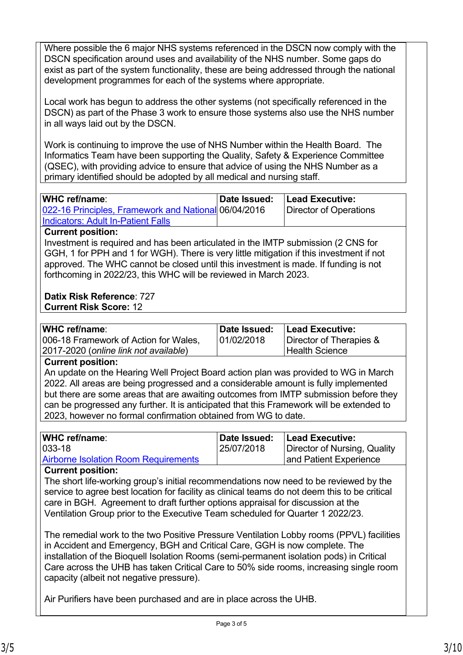Where possible the 6 major NHS systems referenced in the DSCN now comply with the DSCN specification around uses and availability of the NHS number. Some gaps do exist as part of the system functionality, these are being addressed through the national development programmes for each of the systems where appropriate.

Local work has begun to address the other systems (not specifically referenced in the DSCN) as part of the Phase 3 work to ensure those systems also use the NHS number in all ways laid out by the DSCN.

Work is continuing to improve the use of NHS Number within the Health Board. The Informatics Team have been supporting the Quality, Safety & Experience Committee (QSEC), with providing advice to ensure that advice of using the NHS Number as a primary identified should be adopted by all medical and nursing staff.

| WHC ref/name:                                        | Date Issued: | Lead Executive:        |
|------------------------------------------------------|--------------|------------------------|
| 022-16 Principles, Framework and National 06/04/2016 |              | Director of Operations |
| <b>Indicators: Adult In-Patient Falls</b>            |              |                        |

### **Current position:**

Investment is required and has been articulated in the IMTP submission (2 CNS for GGH, 1 for PPH and 1 for WGH). There is very little mitigation if this investment if not approved. The WHC cannot be closed until this investment is made. If funding is not forthcoming in 2022/23, this WHC will be reviewed in March 2023.

# **Datix Risk Reference**: 727

**Current Risk Score:** 12

| Date Issued: | Lead Executive:         |
|--------------|-------------------------|
| 01/02/2018   | Director of Therapies & |
|              | l Health Science l      |
|              |                         |

### **Current position:**

An update on the Hearing Well Project Board action plan was provided to WG in March 2022. All areas are being progressed and a considerable amount is fully implemented but there are some areas that are awaiting outcomes from IMTP submission before they can be progressed any further. It is anticipated that this Framework will be extended to 2023, however no formal confirmation obtained from WG to date.

| Date Issued: | <b>Lead Executive:</b>       |
|--------------|------------------------------|
| 25/07/2018   | Director of Nursing, Quality |
|              | and Patient Experience       |
|              |                              |

### **Current position:**

The short life-working group's initial recommendations now need to be reviewed by the service to agree best location for facility as clinical teams do not deem this to be critical care in BGH. Agreement to draft further options appraisal for discussion at the Ventilation Group prior to the Executive Team scheduled for Quarter 1 2022/23.

The remedial work to the two Positive Pressure Ventilation Lobby rooms (PPVL) facilities in Accident and Emergency, BGH and Critical Care, GGH is now complete. The installation of the Bioquell Isolation Rooms (semi-permanent isolation pods) in Critical Care across the UHB has taken Critical Care to 50% side rooms, increasing single room capacity (albeit not negative pressure).

Air Purifiers have been purchased and are in place across the UHB.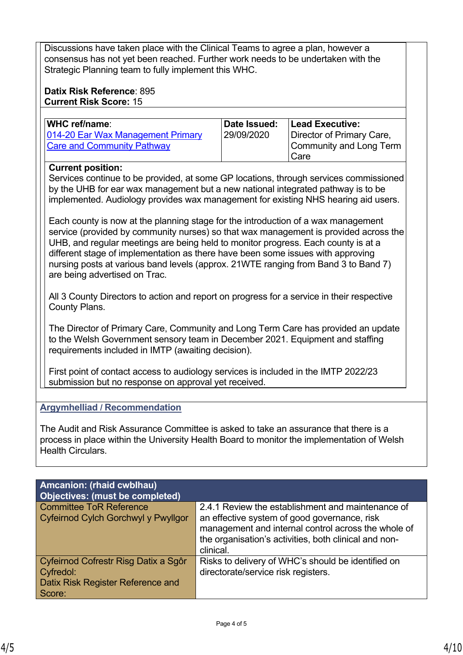Discussions have taken place with the Clinical Teams to agree a plan, however a consensus has not yet been reached. Further work needs to be undertaken with the Strategic Planning team to fully implement this WHC.

### **Datix Risk Reference**: 895 **Current Risk Score:** 15

| WHC ref/name:                     | Date Issued: | <b>Lead Executive:</b>    |
|-----------------------------------|--------------|---------------------------|
| 014-20 Ear Wax Management Primary | 29/09/2020   | Director of Primary Care, |
| <b>Care and Community Pathway</b> |              | Community and Long Term   |
|                                   |              | Care                      |

## **Current position:**

Services continue to be provided, at some GP locations, through services commissioned by the UHB for ear wax management but a new national integrated pathway is to be implemented. Audiology provides wax management for existing NHS hearing aid users.

Each county is now at the planning stage for the introduction of a wax management service (provided by community nurses) so that wax management is provided across the UHB, and regular meetings are being held to monitor progress. Each county is at a different stage of implementation as there have been some issues with approving nursing posts at various band levels (approx. 21WTE ranging from Band 3 to Band 7) are being advertised on Trac.

All 3 County Directors to action and report on progress for a service in their respective County Plans.

The Director of Primary Care, Community and Long Term Care has provided an update to the Welsh Government sensory team in December 2021. Equipment and staffing requirements included in IMTP (awaiting decision).

First point of contact access to audiology services is included in the IMTP 2022/23 submission but no response on approval yet received.

## **Argymhelliad / Recommendation**

The Audit and Risk Assurance Committee is asked to take an assurance that there is a process in place within the University Health Board to monitor the implementation of Welsh Health Circulars.

| <b>Amcanion: (rhaid cwblhau)</b><br>Objectives: (must be completed)                              |                                                                                                                                                                                                                                |  |  |  |  |  |  |  |
|--------------------------------------------------------------------------------------------------|--------------------------------------------------------------------------------------------------------------------------------------------------------------------------------------------------------------------------------|--|--|--|--|--|--|--|
| <b>Committee ToR Reference</b><br>Cyfeirnod Cylch Gorchwyl y Pwyllgor                            | 2.4.1 Review the establishment and maintenance of<br>an effective system of good governance, risk<br>management and internal control across the whole of<br>the organisation's activities, both clinical and non-<br>clinical. |  |  |  |  |  |  |  |
| Cyfeirnod Cofrestr Risg Datix a Sgôr<br>Cyfredol:<br>Datix Risk Register Reference and<br>Score: | Risks to delivery of WHC's should be identified on<br>directorate/service risk registers.                                                                                                                                      |  |  |  |  |  |  |  |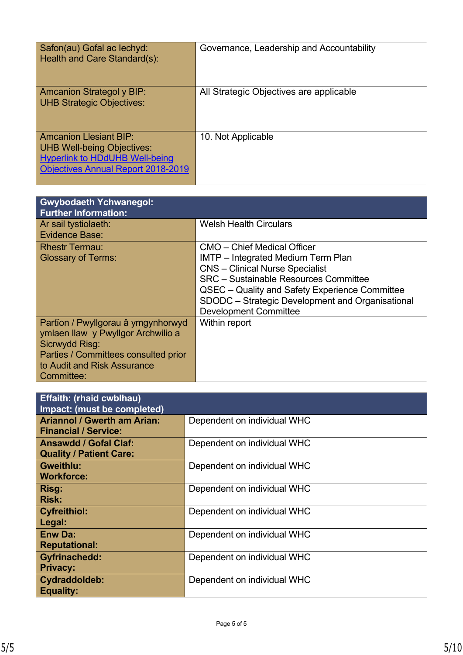| Safon(au) Gofal ac lechyd:<br>Health and Care Standard(s):                                                                                               | Governance, Leadership and Accountability |
|----------------------------------------------------------------------------------------------------------------------------------------------------------|-------------------------------------------|
| <b>Amcanion Strategol y BIP:</b><br><b>UHB Strategic Objectives:</b>                                                                                     | All Strategic Objectives are applicable   |
| <b>Amcanion Llesiant BIP:</b><br><b>UHB Well-being Objectives:</b><br><b>Hyperlink to HDdUHB Well-being</b><br><b>Objectives Annual Report 2018-2019</b> | 10. Not Applicable                        |

| <b>Gwybodaeth Ychwanegol:</b><br><b>Further Information:</b> |                                                  |
|--------------------------------------------------------------|--------------------------------------------------|
| Ar sail tystiolaeth:<br><b>Evidence Base:</b>                | <b>Welsh Health Circulars</b>                    |
|                                                              |                                                  |
| <b>Rhestr Termau:</b>                                        | <b>CMO</b> – Chief Medical Officer               |
| <b>Glossary of Terms:</b>                                    | <b>IMTP</b> – Integrated Medium Term Plan        |
|                                                              | <b>CNS</b> – Clinical Nurse Specialist           |
|                                                              | <b>SRC</b> – Sustainable Resources Committee     |
|                                                              | QSEC - Quality and Safety Experience Committee   |
|                                                              | SDODC - Strategic Development and Organisational |
|                                                              | <b>Development Committee</b>                     |
| Partïon / Pwyllgorau â ymgynhorwyd                           | Within report                                    |
| ymlaen llaw y Pwyllgor Archwilio a                           |                                                  |
| Sicrwydd Risg:                                               |                                                  |
| Parties / Committees consulted prior                         |                                                  |
| to Audit and Risk Assurance                                  |                                                  |
| Committee:                                                   |                                                  |

| <b>Effaith: (rhaid cwblhau)</b><br>Impact: (must be completed)    |                             |
|-------------------------------------------------------------------|-----------------------------|
| <b>Ariannol / Gwerth am Arian:</b><br><b>Financial / Service:</b> | Dependent on individual WHC |
| <b>Ansawdd / Gofal Claf:</b><br><b>Quality / Patient Care:</b>    | Dependent on individual WHC |
| <b>Gweithlu:</b><br><b>Workforce:</b>                             | Dependent on individual WHC |
| Risg:<br><b>Risk:</b>                                             | Dependent on individual WHC |
| <b>Cyfreithiol:</b><br>Legal:                                     | Dependent on individual WHC |
| <b>Enw Da:</b><br><b>Reputational:</b>                            | Dependent on individual WHC |
| <b>Gyfrinachedd:</b><br><b>Privacy:</b>                           | Dependent on individual WHC |
| Cydraddoldeb:<br><b>Equality:</b>                                 | Dependent on individual WHC |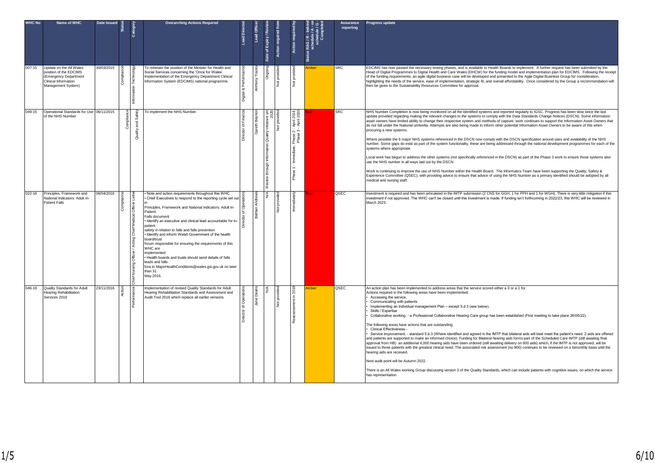| <b>WHC No</b> | Name of WHC                                                                                                             | Date Issued | ä             |                        | <b>Overarching Actions Required</b>                                                                                                                                                                                                                                                                                                                                                                                                                                                                                                                                                                                                                               | ead Director                       | Lead Office          | Date of Expiry / Revie                                 | Action required fro | <b>Action required</b>                                                               | ှိ ဗ<br>$\xi$ $\frac{1}{2}$<br> <br>  Status RAG/R - b<br> - Noodule | <b>Assurance</b><br>reporting | Progress update                                                                                                                                                                                                                                                                                                                                                                                                                                                                                                                                                                                                                                                                                                                                                                                                                                                                                                                                                                                                                                                                                                                                                                                                                                                                                                                                                                                                                                                                                                                          |
|---------------|-------------------------------------------------------------------------------------------------------------------------|-------------|---------------|------------------------|-------------------------------------------------------------------------------------------------------------------------------------------------------------------------------------------------------------------------------------------------------------------------------------------------------------------------------------------------------------------------------------------------------------------------------------------------------------------------------------------------------------------------------------------------------------------------------------------------------------------------------------------------------------------|------------------------------------|----------------------|--------------------------------------------------------|---------------------|--------------------------------------------------------------------------------------|----------------------------------------------------------------------|-------------------------------|------------------------------------------------------------------------------------------------------------------------------------------------------------------------------------------------------------------------------------------------------------------------------------------------------------------------------------------------------------------------------------------------------------------------------------------------------------------------------------------------------------------------------------------------------------------------------------------------------------------------------------------------------------------------------------------------------------------------------------------------------------------------------------------------------------------------------------------------------------------------------------------------------------------------------------------------------------------------------------------------------------------------------------------------------------------------------------------------------------------------------------------------------------------------------------------------------------------------------------------------------------------------------------------------------------------------------------------------------------------------------------------------------------------------------------------------------------------------------------------------------------------------------------------|
| $007 - 15$    | Update on the All Wales<br>position of the EDCIMS<br>(Emergency Department<br>Clinical Information<br>Management System | 30/03/2015  | පි<br>Complia |                        | To reiterate the position of the Minister for Health and<br>Social Services concerning the 'Once for Wales'<br>Implementation of the Emergency Department Clinical<br>Information System (EDCIMS) national programme.                                                                                                                                                                                                                                                                                                                                                                                                                                             | & Perform<br>Digital               | Anthony <sup>-</sup> | Ongoi                                                  | pro<br>ĕ            | pro<br>$\frac{5}{2}$                                                                 | mber                                                                 | <b>SRC</b>                    | EDCIMS has now passed the necessary testing phases, and is available to Health Boards to implement. A further request has been submitted by the<br>Head of Digital Programmes to Digital Health and Care Wales (DHCW) for the funding model and implementation plan for EDCIMS. Following the receipt<br>of the funding requirements, an agile digital business case will be developed and presented to the Agile Digital Business Group for consideration,<br>highlighting the needs of the service, ease of implementation, strategic fit, and overall affordability. Once considered by the Group a recommendation will<br>then be given to the Sustainability Resources Committee for approval.                                                                                                                                                                                                                                                                                                                                                                                                                                                                                                                                                                                                                                                                                                                                                                                                                                      |
| 049-15        | Operational Standards for Use 06/11/2015<br>of the NHS Number                                                           |             |               | and Safety<br>Quality: | To implement the NHS Number.                                                                                                                                                                                                                                                                                                                                                                                                                                                                                                                                                                                                                                      | Director of Finance                | Beynor<br>Gareth     | n Quality Initiative unt<br>Review through Information | provide<br>Ιğ       | 2018,<br>April<br>April<br>$\frac{1}{2}$ $\frac{1}{2}$<br>8 S<br>운호<br>яé,<br>9<br>훏 |                                                                      | SRC                           | NHS Number Completion is now being monitored on all the identified systems and reported regularly to IGSC. Progress has been slow since the last<br>update provided regarding making the relevant changes to the systems to comply with the Data Standards Change Notices (DSCN). Some information<br>asset owners have limited ability to change their respective system and methods of capture; work continues to support the Information Asset Owners that<br>do not fall under the National umbrella. Attempts are also being made to inform other potential Information Asset Owners to be aware of this when<br>procuring a new systems.<br>Where possible the 6 major NHS systems referenced in the DSCN now comply with the DSCN specification around uses and availability of the NHS<br>number. Some gaps do exist as part of the system functionality, these are being addressed through the national development programmes for each of the<br>systems where appropriate.<br>Local work has begun to address the other systems (not specifically referenced in the DSCN) as part of the Phase 3 work to ensure those systems also<br>use the NHS number in all ways laid out by the DSCN.<br>Work is continuing to improve the use of NHS Number within the Health Board. The Informatics Team have been supporting the Quality, Safety &<br>Experience Committee (QSEC), with providing advice to ensure that advice of using the NHS Number as a primary identified should be adopted by all<br>medical and nursing staff. |
| $022 - 16$    | Principles, Framework and<br>National Indicators: Adult In-<br><b>Patient Falls</b>                                     | 06/04/2016  | Com           | ΙŦ<br>Chief<br>ō       | Note and action requirements throughout this WHC<br>Chief Executives to respond to the reporting cycle set ou<br>Principles, Framework and National Indicators: Adult In-<br>Patient<br>Falls document<br>Identify an executive and clinical lead accountable for in-<br>natient<br>safety in relation to falls and falls prevention<br>· Identify and inform Welsh Government of the health<br>board/trust<br>forum responsible for ensuring the requirements of this<br>WHC are<br>implemented<br>· Health boards and trusts should send details of falls<br>leads and falls<br>fora to MajorHealthConditions@wales.gsi.gov.uk no later<br>than 31<br>May 2016. |                                    |                      | ≶                                                      | $\frac{5}{2}$       |                                                                                      |                                                                      | QSEC                          | Investment is required and has been articulated in the IMTP submission (2 CNS for GGH, 1 for PPH and 1 for WGH). There is very little mitigation if this<br>nvestment if not approved. The WHC can't be closed until this investment is made. If funding isn't forthcoming in 2022/23, this WHC will be reviewed in<br>March 2023.                                                                                                                                                                                                                                                                                                                                                                                                                                                                                                                                                                                                                                                                                                                                                                                                                                                                                                                                                                                                                                                                                                                                                                                                       |
| 046-16        | Quality Standards for Adult<br>Hearing Rehabilitation<br>Services 2016                                                  | 23/11/2016  | ã             |                        | Implementation of revised Quality Standards for Adult<br>Hearing Rehabilitation Standards and Assessment and<br>Audit Tool 2016 which replace all earlier versions                                                                                                                                                                                                                                                                                                                                                                                                                                                                                                | <sup>o</sup><br>$\bar{5}$<br>actor | గి<br>lane           | ⋚                                                      | Not pro             | £.<br>lent                                                                           | mber                                                                 | QSEC                          | An action plan has been implemented to address areas that the service scored either a 0 or a 1 for.<br>Actions required in the following areas have been implemented:<br>Accessing the service,<br>Communicating with patients<br>Implementing an Individual management Plan - except 5.d.3 (see below).<br>Skills / Expertise<br>Collaborative working - a Professional Collaborative Hearing Care group has been established (First meeting to take place 26/05/22).<br>The following areas have actions that are outstanding:<br>Clinical Effectiveness -<br>Service improvement. - standard 5.b.3 (Where identified and agreed in the IMTP that bilateral aids will best meet the patient's need. 2 aids are offered<br>and patients are supported to make an informed choice). Funding for Bilateral hearing aids forms part of the Scheduled Care IMTP (still awaiting final<br>approval from HB) an additional 4,000 hearing aids have been ordered (still awaiting delivery on 600 aids) which, if the IMTP is not approved, will be<br>issued to those patients with the greatest clinical need. The associated risk assessment (no.900) continues to be reviewed on a bimonthly basis until the<br>hearing aids are received.<br>Next audit point will be Autumn 2022.<br>There is an All Wales working Group discussing version 3 of the Quality Standards, which can include patients with cognitive issues, on which the service<br>has representation.                                                                     |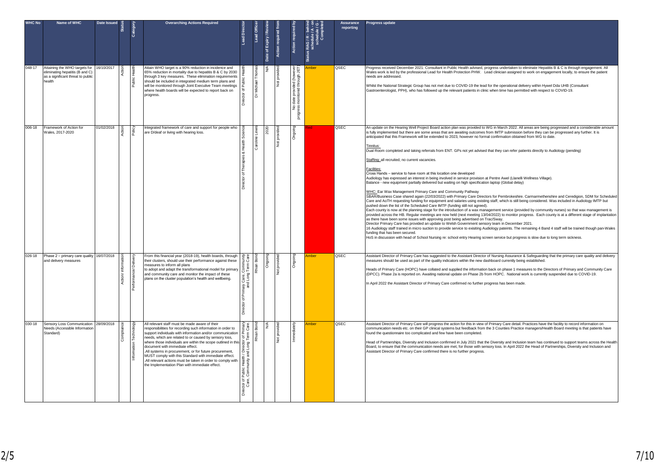| <b>WHC No</b> | Name of WHC                                                                                                     | Date Issued | tegary | <b>Overarching Actions Required</b>                                                                                                                                                                                                                                                                                                                                                                                                                                                                                                                                           | Lead Dire                                                                                                            | Lead Office        | Date of Expiry / Revie | Action required t         |                                                                       | ៓៎<br>Status RAG / R - beh<br>schedule / A -<br>ے ∢ | <b>Assurance</b><br>reporting | Progress update                                                                                                                                                                                                                                                                                                                                                                                                                                                                                                                                                                                                                                                                                                                                                                                                                                                                                                                                                                                                                                                                                                                                                                                                                                                                                                                                                                                                                                                                                                                                                                                                                                                                                                                                                                                                                                                                                                                                                                                                                                                                                                                                                                                                                                                     |
|---------------|-----------------------------------------------------------------------------------------------------------------|-------------|--------|-------------------------------------------------------------------------------------------------------------------------------------------------------------------------------------------------------------------------------------------------------------------------------------------------------------------------------------------------------------------------------------------------------------------------------------------------------------------------------------------------------------------------------------------------------------------------------|----------------------------------------------------------------------------------------------------------------------|--------------------|------------------------|---------------------------|-----------------------------------------------------------------------|-----------------------------------------------------|-------------------------------|---------------------------------------------------------------------------------------------------------------------------------------------------------------------------------------------------------------------------------------------------------------------------------------------------------------------------------------------------------------------------------------------------------------------------------------------------------------------------------------------------------------------------------------------------------------------------------------------------------------------------------------------------------------------------------------------------------------------------------------------------------------------------------------------------------------------------------------------------------------------------------------------------------------------------------------------------------------------------------------------------------------------------------------------------------------------------------------------------------------------------------------------------------------------------------------------------------------------------------------------------------------------------------------------------------------------------------------------------------------------------------------------------------------------------------------------------------------------------------------------------------------------------------------------------------------------------------------------------------------------------------------------------------------------------------------------------------------------------------------------------------------------------------------------------------------------------------------------------------------------------------------------------------------------------------------------------------------------------------------------------------------------------------------------------------------------------------------------------------------------------------------------------------------------------------------------------------------------------------------------------------------------|
| 048-17        | Attaining the WHO targets for<br>eliminating hepatitis (B and C)<br>as a significant threat to public<br>health | 16/10/2017  |        | Attain WHO target is a 90% reduction in incidence and<br>65% reduction in mortality due to hepatitis B & C by 2030<br>through 3 key measures. These elimination requirements<br>should be included in integrated medium term plans and<br>will be monitored through Joint Executive Team meetings<br>where health boards will be expected to report back on<br>progress.                                                                                                                                                                                                      | ৳                                                                                                                    | Michael<br>ă       |                        | pro<br>$\frac{5}{2}$      | date provided (however<br>monitored through JET)<br>ر و<br>پ<br>progr | mber                                                | QSEC                          | Progress received December 2021: Consultant in Public Health advised, progress undertaken to eliminate Hepatitis B & C is through engagement. All<br>Wales work is led by the professional Lead for Health Protection PHW. Lead clinician assigned to work on engagement locally, to ensure the patient<br>heeds are addressed<br>Whilst the National Strategic Group has not met due to COVID-19 the lead for the operational delivery within Hywel Dda UHB (Consultant<br>Gastroenterologist, PPH), who has followed up the relevant patients in clinic when time has permitted with respect to COVID-19.                                                                                                                                                                                                                                                                                                                                                                                                                                                                                                                                                                                                                                                                                                                                                                                                                                                                                                                                                                                                                                                                                                                                                                                                                                                                                                                                                                                                                                                                                                                                                                                                                                                         |
| 006-18        | Framework of Action for<br>Wales, 2017-2020                                                                     | 01/02/2018  |        | Integrated framework of care and support for people who<br>are D/deaf or living with hearing loss.                                                                                                                                                                                                                                                                                                                                                                                                                                                                            | & Health<br>es<br>৳                                                                                                  | Caroline           |                        | Not prov                  | ర్                                                                    |                                                     | QSEC                          | An update on the Hearing Well Project Board action plan was provided to WG in March 2022. All areas are being progressed and a considerable amount<br>s fully implemented but there are some areas that are awaiting outcomes from IMTP submission before they can be progressed any further. It is<br>anticipated that this Framework will be extended to 2023, however no formal confirmation obtained from WG to date.<br>Tinnitus:<br>Dual Room completed and taking referrals from ENT. GPs not yet advised that they can refer patients directly to Audiology (pending)<br>Staffing: all recruited, no current vacancies.<br>Facilities:<br>Cross Hands - service to have room at this location one developed<br>Audiology has expressed an interest in being involved in service provision at Pentre Awel (Llanelli Wellness Village).<br>Balance - new equipment partially delivered but waiting on high specification laptop (Global delay)<br>WHC: Ear Wax Management Primary Care and Community Pathway<br>SBAR/Business Case shared again (22/03/2022) with Primary Care Directors for Pembrokeshire. Carmarmethenshire and Ceredigion, SDM for Scheduled<br>Care and AoTH requesting funding for equipment and salaries using existing staff, which is still being considered. Was included in Audiology IMTP but<br>bushed down the list of the Scheduled Care IMTP (funding still not agreed).<br>Each county is now at the planning stage for the introduction of a wax management service (provided by community nurses) so that wax management is<br>provided across the HB. Regular meetings are now held (next meeting 13/04/2022) to monitor progress. Each county is at a different stage of implantation<br>as there have been some issues with approving post being advertised on Trac/Sway.<br>Director Primary Care has provided an update to Welsh Government sensory team in December 2021.<br>16 Audiology staff trained in micro suction to provide service to exisiting Audiology pateints. The remaining 4 Band 4 staff will be trained though pan-Wales<br>funding that has been secured.<br>HoS in discussion with head of School Nursing re: school entry Hearing screen service but progress is slow due to long term sickness. |
| 026-18        | Phase 2 - primary care quality 16/07/2018<br>and delivery measures                                              |             |        | From this financial year (2018-19), health boards, through<br>their clusters, should use their performance against these<br>measures to inform all plans<br>to adopt and adapt the transformational model for primary<br>and community care and monitor the impact of these<br>plans on the cluster population's health and wellbeing.                                                                                                                                                                                                                                        | Ξă<br>Comm<br>Term<br>ary Care, C<br>and Long<br>৳<br>ector                                                          | Rhian Bo           | Ongoi                  | g<br>ļğ                   | ర్                                                                    | mber                                                | QSEC                          | Assistant Director of Primary Care has suggested to the Assistant Director of Nursing Assurance & Safeguarding that the primary care quality and delivery<br>neasures should be used as part of the quality indicators within the new dashboard currently being established.<br>Heads of Primary Care (HOPC) have collated and supplied the information back on phase 1 measures to the Directors of Primary and Community Care<br>(DPCC). Phase 2a is reported on. Awaiting national update on Phase 2b from HOPC. National work is currently suspended due to COVID-19.<br>In April 2022 the Assistant Director of Primary Care confirmed no further progress has been made.                                                                                                                                                                                                                                                                                                                                                                                                                                                                                                                                                                                                                                                                                                                                                                                                                                                                                                                                                                                                                                                                                                                                                                                                                                                                                                                                                                                                                                                                                                                                                                                      |
| 030-18        | Sensory Loss Communication 28/09/2018<br>Needs (Accessible Information<br>Standard)                             |             |        | All relevant staff must be made aware of their<br>responsibilities for recording such information in order to<br>support individuals with information and/or communication<br>needs, which are related to or caused by sensory loss,<br>where those individuals are within the scope outlined in this<br>document with immediate effect.<br>.All systems in procurement, or for future procurement,<br>MUST comply with this Standard with immediate effect.<br>.All relevant actions must be taken in order to comply with<br>the Implementation Plan with immediate effect. | ler<br>Care<br>r of Pr<br>Term (<br>irector<br>Long 1<br>n<br>and I<br>Public Health<br>Community<br>tor of<br>Care, | <b>Bo</b><br>Rhian |                        | pro<br>$\rm \overline{P}$ | Immed                                                                 | mber                                                | QSEC                          | Assistant Director of Primary Care will progress the action for this in view of Primary Care detail. Practices have the facility to record information on<br>communication needs etc. on their GP clinical systems but feedback from the 3 Counties Practice managers/Health Board meeting is that patients have<br>found the questionnaire too complicated and few have been completed.<br>Head of Partnerships, Diversity and Inclusion confirmed in July 2021 that the Diversity and Inclusion team has continued to support teams across the Health<br>Board, to ensure that the communication needs are met, for those with sensory loss. In April 2022 the Head of Partnerships, Diversity and Inclusion and<br>Assistant Director of Primary Care confirmed there is no further progress.                                                                                                                                                                                                                                                                                                                                                                                                                                                                                                                                                                                                                                                                                                                                                                                                                                                                                                                                                                                                                                                                                                                                                                                                                                                                                                                                                                                                                                                                    |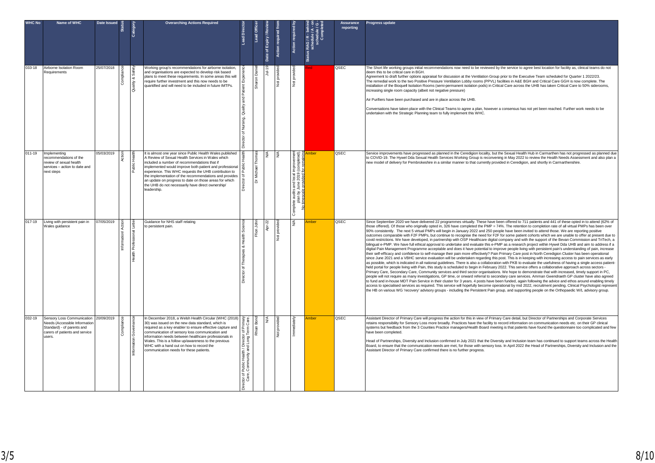| <b>WHC No</b> | Name of WHC                                                                                                                                  | Date Issued |                          |           | <b>Overarching Actions Required</b>                                                                                                                                                                                                                                                                                                                                                                                                                                        | å<br>$-ead$                                                                                     | Lead Office         | Date of Expiry / Revier | Action required fr |               | A - on<br>Jle / G -<br>s RAG / R - behir<br>schedule / A - c<br><b>Status</b> | <b>Assurance</b><br>reporting | Progress update                                                                                                                                                                                                                                                                                                                                                                                                                                                                                                                                                                                                                                                                                                                                                                                                                                                                                                                                                                                                                                                                                                                                                                                                                                                                                                                                                                                                                                                                                                                                                                                                                                                                                                                                                                                                                                                                                                                                                                                                                                                                                                                                                                                                                                                                                                                                                                                                                                                                                                                                                    |
|---------------|----------------------------------------------------------------------------------------------------------------------------------------------|-------------|--------------------------|-----------|----------------------------------------------------------------------------------------------------------------------------------------------------------------------------------------------------------------------------------------------------------------------------------------------------------------------------------------------------------------------------------------------------------------------------------------------------------------------------|-------------------------------------------------------------------------------------------------|---------------------|-------------------------|--------------------|---------------|-------------------------------------------------------------------------------|-------------------------------|--------------------------------------------------------------------------------------------------------------------------------------------------------------------------------------------------------------------------------------------------------------------------------------------------------------------------------------------------------------------------------------------------------------------------------------------------------------------------------------------------------------------------------------------------------------------------------------------------------------------------------------------------------------------------------------------------------------------------------------------------------------------------------------------------------------------------------------------------------------------------------------------------------------------------------------------------------------------------------------------------------------------------------------------------------------------------------------------------------------------------------------------------------------------------------------------------------------------------------------------------------------------------------------------------------------------------------------------------------------------------------------------------------------------------------------------------------------------------------------------------------------------------------------------------------------------------------------------------------------------------------------------------------------------------------------------------------------------------------------------------------------------------------------------------------------------------------------------------------------------------------------------------------------------------------------------------------------------------------------------------------------------------------------------------------------------------------------------------------------------------------------------------------------------------------------------------------------------------------------------------------------------------------------------------------------------------------------------------------------------------------------------------------------------------------------------------------------------------------------------------------------------------------------------------------------------|
| 033-18        | Airborne Isolation Room<br>Requirements                                                                                                      | 25/07/2018  |                          | & Sa<br>首 | Working group's recommendations for airborne isolation,<br>and organisations are expected to develop risk based<br>plans to meet these requirements. In some areas this will<br>require further investment and this now needs to be<br>quantified and will need to be included in future IMTPs.                                                                                                                                                                            | õ<br>ģ,<br>$\overline{\circ}$                                                                   | Sharon <sup>1</sup> | $Jul-19$                | prov               | $\frac{a}{2}$ |                                                                               | QSEC                          | The Short life working groups initial recommendations now need to be reviewed by the service to agree best location for facility as, clinical teams do not<br>deem this to be critical care in BGH.<br>Agreement to draft further options appraisal for discussion at the Ventilation Group prior to the Executive Team scheduled for Quarter 1 2022/23.<br>The remedial work to the two Positive Pressure Ventilation Lobby rooms (PPVL) facilities in A&E BGH and Critical Care GGH is now complete. The<br>installation of the Bioquell Isolation Rooms (semi-permanent isolation pods) in Critical Care across the UHB has taken Critical Care to 50% siderooms,<br>increasing single room capacity (albeit not negative pressure)<br>Air Purifiers have been purchased and are in place across the UHB.<br>Conversations have taken place with the Clinical Teams to agree a plan, however a consensus has not yet been reached. Further work needs to be<br>undertaken with the Strategic Planning team to fully implement this WHC.                                                                                                                                                                                                                                                                                                                                                                                                                                                                                                                                                                                                                                                                                                                                                                                                                                                                                                                                                                                                                                                                                                                                                                                                                                                                                                                                                                                                                                                                                                                         |
| $011 - 19$    | Implementing<br>recommendations of the<br>review of sexual health<br>services - action to date and<br>next steps                             | 05/03/2019  |                          |           | It is almost one year since Public Health Wales published<br>A Review of Sexual Health Services in Wales which<br>included a number of recommendations that if<br>implemented would improve both patient and professional<br>experience. This WHC requests the UHB contribution to<br>the implementation of the recommendations and provides<br>an update on progress to date on those areas for which<br>the UHB do not necessarily have direct ownership/<br>leadership. | ৳                                                                                               | Vichael<br>ă        | ⋚                       |                    |               | mber                                                                          | QSEC                          | Service improvements have progressed as planned in the Ceredigion locality, but the Sexual Health Hub in Carmarthen has not progressed as planned due<br>to COVID-19. The Hywel Dda Sexual Health Services Working Group is reconvening in May 2022 to review the Health Needs Assessment and also plan a<br>new model of delivery for Pembrokeshire in a similar manner to that currently provided in Ceredigion, and shortly in Carmarthenshire.                                                                                                                                                                                                                                                                                                                                                                                                                                                                                                                                                                                                                                                                                                                                                                                                                                                                                                                                                                                                                                                                                                                                                                                                                                                                                                                                                                                                                                                                                                                                                                                                                                                                                                                                                                                                                                                                                                                                                                                                                                                                                                                 |
| $017 - 19$    | Living with persistent pain in<br>Wales guidance                                                                                             | 07/05/2019  | $\widetilde{\mathsf{s}}$ | onal<br>å | Guidance for NHS staff relating<br>to persistent pain.                                                                                                                                                                                                                                                                                                                                                                                                                     | & Health Sci<br>$\overline{\sigma}$                                                             | Ffion John          | ē                       | $\frac{5}{5}$      |               | mber                                                                          | QSEC                          | Since September 2020 we have delivered 22 programmes virtually. These have been offered to 711 patients and 441 of these opted in to attend (62% of<br>those offered). Of those who originally opted in, 326 have completed the PMP = 74%. The retention to completion rate of all virtual PMPs has been over<br>90% consistently. The next 5 virtual PMPs will begin in January 2022 and 250 people have been invited to attend those. We are reporting positive<br>outcomes comparable with F2F PMPs, but continue to recognise the need for F2F for some patient cohorts which we are unable to offer at present due to<br>covid restrictions. We have developed, in partnership with OSP Healthcare digital company and with the support of the Bevan Commission and TriTech, a<br>bilingual e-PMP. We have full ethical approval to undertake and evaluate this e-PMP as a research project within Hywel Dda UHB and aim to address if a<br>digital Pain Management Programme acceptable and does it have potential to improve people living with persistent pain's understanding of pain, increase<br>their self-efficacy and confidence to self-manage their pain more effectively? Pain Primary Care post in North Ceredigion Cluster has been operational<br>since June 2021 and a VBHC service evaluation will be undertaken regarding this post. This is in keeping with increasing access to pain services as early<br>as possible, which is indicated in all national quidelines. There is also a collaboration with PKB to evaluate the usefulness of having a single access patient-<br>held portal for people living with Pain, this study is scheduled to begin in February 2022. This service offers a collaborative approach across sectors -<br>Primary Care, Secondary Care, Community services and third sector organisations. We hope to demonstrate that with increased, timely support in PC,<br>people will not require as many investigations, GP time, or onward referral to secondary care services. Amman Gwendraeth GP cluster have also agreed<br>to fund and in-house MDT Pain Service in their cluster for 3 years. 4 posts have been funded, again following the advice and ethos around enabling timely<br>access to specialised services as required. This service will hopefully become operational by mid 2022, recruitment pending. Clinical Psychologist represent<br>the HB on various WG 'recovery' advisory groups - including the Persistent Pain group, and supporting people on the Orthopaedic W/L advisory group. |
| 032-19        | Sensory Loss Communication<br><b>Needs (Accessible Information</b><br>Standard) - of parents and<br>carers of patients and service<br>users. | 20/09/2019  |                          | Governa   | In December 2018, a Welsh Health Circular (WHC (2018)<br>30) was issued on the new data standard, which is<br>required as a key enabler to ensure effective capture and<br>communication of sensory loss communication and<br>information needs between healthcare professionals in<br>Wales. This is a follow up/awareness to the previous<br>WHC with a hand out on how to record the<br>communication needs for these patients.                                         | Care<br>irector of Pri<br>Long Term (<br>n/Dii<br>and L<br>동<br>이후<br>무료<br>ಿಕ<br>ర లే<br>ల్ డే | Rhian               | ≶                       |                    |               | mber                                                                          | QSEC                          | Assistant Director of Primary Care will progress the action for this in view of Primary Care detail, but Director of Partnerships and Corporate Services<br>retains responsibility for Sensory Loss more broadly. Practices have the facility to record information on communication needs etc. on their GP clinical<br>systems but feedback from the 3 Counties Practice managers/Health Board meeting is that patients have found the questionnaire too complicated and few<br>ave been completed.<br>Head of Partnerships, Diversity and Inclusion confirmed in July 2021 that the Diversity and Inclusion team has continued to support teams across the Health<br>Board, to ensure that the communication needs are met, for those with sensory loss. In April 2022 the Head of Partnerships, Diversity and Inclusion and the<br>Assistant Director of Primary Care confirmed there is no further progress.                                                                                                                                                                                                                                                                                                                                                                                                                                                                                                                                                                                                                                                                                                                                                                                                                                                                                                                                                                                                                                                                                                                                                                                                                                                                                                                                                                                                                                                                                                                                                                                                                                                   |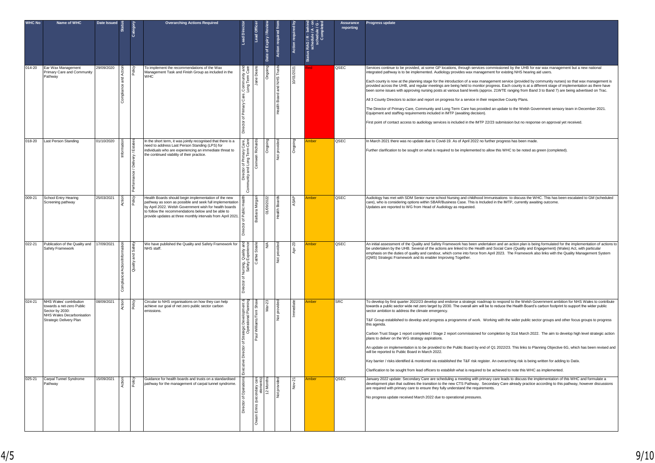| <b>WHC No</b> | Name of WHC                                                                                                                    | Date Issued | ீ<br>ö        | Category                            | <b>Overarching Actions Required</b>                                                                                                                                                                                                                                                             | ă<br>ead                                                                        | Lead Office                         | Expiry / Revie<br>Date of | n required fr        |            | ie / G<br>- Status RAG / R - beh<br>- Schedule / A | Assurance<br>reporting | Progress update                                                                                                                                                                                                                                                                                                                                                                                                                                                                                                                                                                                                                                                                                                                                                                                                                                                                                                                                                                                                                                                                                                                                                                                                                                  |
|---------------|--------------------------------------------------------------------------------------------------------------------------------|-------------|---------------|-------------------------------------|-------------------------------------------------------------------------------------------------------------------------------------------------------------------------------------------------------------------------------------------------------------------------------------------------|---------------------------------------------------------------------------------|-------------------------------------|---------------------------|----------------------|------------|----------------------------------------------------|------------------------|--------------------------------------------------------------------------------------------------------------------------------------------------------------------------------------------------------------------------------------------------------------------------------------------------------------------------------------------------------------------------------------------------------------------------------------------------------------------------------------------------------------------------------------------------------------------------------------------------------------------------------------------------------------------------------------------------------------------------------------------------------------------------------------------------------------------------------------------------------------------------------------------------------------------------------------------------------------------------------------------------------------------------------------------------------------------------------------------------------------------------------------------------------------------------------------------------------------------------------------------------|
| $014 - 20$    | Ear Wax Management<br>Primary Care and Community<br>Pathway                                                                    | 29/09/2020  |               |                                     | To implement the recommendations of the Wax<br>Management Task and Finish Group as included in the<br><b>WHC</b>                                                                                                                                                                                | , Community and<br>Long Term Care<br>ξ<br>ъ                                     | Jane De                             |                           | SHR                  | 10/01/2021 |                                                    | QSEC                   | Services continue to be provided, at some GP locations, through services commissioned by the UHB for ear wax management but a new national<br>integrated pathway is to be implemented. Audiology provides wax management for existing NHS hearing aid users.<br>Each county is now at the planning stage for the introduction of a wax management service (provided by community nurses) so that wax management is<br>provided across the UHB, and regular meetings are being held to monitor progress. Each county is at a different stage of implementation as there have<br>been some issues with approving nursing posts at various band levels (approx. 21WTE ranging from Band 3 to Band 7) are being advertised on Trac.<br>All 3 County Directors to action and report on progress for a service in their respective County Plans.<br>The Director of Primary Care, Community and Long Term Care has provided an update to the Welsh Government sensory team in December 2021.<br>Equipment and staffing requirements included in IMTP (awaiting decision).<br>First point of contact access to audiology services is included in the IMTP 22/23 submission but no response on approval yet received.                                    |
| 018-20        | Last Person Standing                                                                                                           | 01/10/2020  | 5<br>Informat | very / Esta<br>/ Deli<br>erformance | In the short term, it was jointly recognised that there is a<br>need to address Last Person Standing (LPS) for<br>individuals who are experiencing an immediate threat to<br>the continued viability of their practice.                                                                         | Care,<br>Care<br>ector of Primary C<br>y and Long Term (<br>Dire<br>Siriy<br>ලි | wen Rich<br>∂<br>C⊜i                | ŏ                         | PL <sub>0</sub><br>ş | δ          | mber                                               | QSEC                   | n March 2021 there was no update due to Covid-19. As of April 2022 no further progress has been made.<br>Further clarification to be sought on what is required to be implemented to allow this WHC to be noted as green (completed).                                                                                                                                                                                                                                                                                                                                                                                                                                                                                                                                                                                                                                                                                                                                                                                                                                                                                                                                                                                                            |
| 009-21        | School Entry Hearing<br>Screening pathway                                                                                      | 25/03/2021  | ξ             | Pol                                 | Health Boards should begin implementation of the new<br>pathway as soon as possible and seek full implementation<br>by April 2022. Welsh Government wish for health boards<br>to follow the recommendations below and be able to<br>provide updates at three monthly intervals from April 2021. | ৳<br>ē<br>ā                                                                     | Barbara Mor                         | 01/09                     |                      |            | mber                                               | QSEC                   | Audiology has met with SDM Senior nurse school Nursing and childhood Immunisations to discuss the WHC. This has been escalated to GM (scheduled<br>care), who is considering options within SBAR/Business Case. This is Included in the IMTP, currently awaiting outcome.<br>Updates are reported to WG from Head of Audiology as requested.                                                                                                                                                                                                                                                                                                                                                                                                                                                                                                                                                                                                                                                                                                                                                                                                                                                                                                     |
| 022-21        | Publication of the Quality and<br>Safety Framework                                                                             | 17/09/2021  |               | S <sub>a</sub><br>and<br>Quality    | We have published the Quality and Safety Framework for<br>NHS staff.                                                                                                                                                                                                                            | Quality<br>Experies<br>of Nursing, 0<br>rector<br>å                             | 5<br>Cathie                         |                           | g<br>ş               | ā          | nber                                               | QSEC                   | An initial assessment of the Quality and Safety Framework has been undertaken and an action plan is being formulated for the implementation of actions to<br>be undertaken by the UHB. Several of the actions are linked to the Health and Social Care (Quality and Engagement) (Wales) Act, with particular<br>emphasis on the duties of quality and candour, which come into force from April 2023. The Framework also links with the Quality Management System<br>(QMS) Strategic Framework and its enabler Improving Together.                                                                                                                                                                                                                                                                                                                                                                                                                                                                                                                                                                                                                                                                                                               |
| $024 - 21$    | NHS Wales' contribution<br>owards a net-zero Public<br>Sector by 2030:<br>NHS Wales Decarbonisation<br>Strategic Delivery Plan | 08/09/2021  |               |                                     | Circular to NHS organisations on how they can help<br>achieve our goal of net zero public sector carbon<br>emissions.                                                                                                                                                                           | Development<br>ational Plannin<br>of Strategic I<br>ector<br>utive              | Paul Williams/Terri Sha             |                           | pro<br>ğ             | Immed      | <u>mber</u>                                        | <b>SRC</b>             | To develop by first quarter 2022/23 develop and endorse a strategic roadmap to respond to the Welsh Government ambition for NHS Wales to contribute<br>towards a public sector wide net zero target by 2030. The overall aim will be to reduce the Health Board's carbon footprint to support the wider public<br>sector ambition to address the climate emergency.<br>T&F Group established to develop and progress a programme of work. Working with the wider public sector groups and other focus groups to progress<br>this agenda.<br>Carbon Trust Stage 1 report completed / Stage 2 report commissioned for completion by 31st March 2022. The aim to develop high level strategic action<br>plans to deliver on the WG strategy aspirations.<br>An update on implementation is to be provided to the Public Board by end of Q1 2022/23. This links to Planning Objective 6G, which has been revised and<br>will be reported to Public Board in March 2022.<br>Key barrier / risks identified & monitored via established the T&F risk register. An overarching risk is being written for adding to Datix.<br>larification to be sought from lead officers to establish what is required to be achieved to note this WHC as implemented. |
| $025 - 21$    | Carpal Tunnel Syndrome<br>Pathway                                                                                              | 15/09/2021  |               |                                     | Guidance for health boards and trusts on a standardised<br>pathway for the management of carpal tunnel syndrome.                                                                                                                                                                                | ector of<br>ā                                                                   | secondary<br>eleme<br>$E$ nnis<br>듦 | $\approx$                 | ă<br>$\frac{1}{2}$   | ę          | mber                                               | QSEC                   | January 2022 update: Secondary Care are scheduling a meeting with primary care leads to discuss the implementation of this WHC and formulate a<br>development plan that outlines the transition to the new CTS Pathway. Secondary Care already practice according to this pathway, however discussions<br>are required with primary care to ensure they fully understand the requirements.<br>No progress update received March 2022 due to operational pressures.                                                                                                                                                                                                                                                                                                                                                                                                                                                                                                                                                                                                                                                                                                                                                                               |